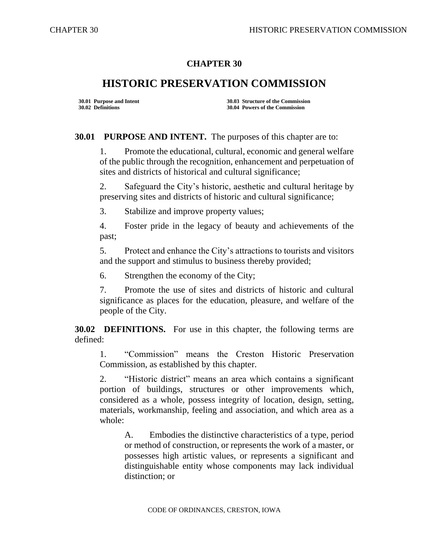## **CHAPTER 30**

## **HISTORIC PRESERVATION COMMISSION**

**30.01 Purpose and Intent 30.03 Structure of the Commission 30.02 Definitions 30.04 Powers of the Commission**

**30.01 PURPOSE AND INTENT.** The purposes of this chapter are to:

1. Promote the educational, cultural, economic and general welfare of the public through the recognition, enhancement and perpetuation of sites and districts of historical and cultural significance;

2. Safeguard the City's historic, aesthetic and cultural heritage by preserving sites and districts of historic and cultural significance;

3. Stabilize and improve property values;

4. Foster pride in the legacy of beauty and achievements of the past;

5. Protect and enhance the City's attractions to tourists and visitors and the support and stimulus to business thereby provided;

6. Strengthen the economy of the City;

7. Promote the use of sites and districts of historic and cultural significance as places for the education, pleasure, and welfare of the people of the City.

**30.02 DEFINITIONS.** For use in this chapter, the following terms are defined:

1. "Commission" means the Creston Historic Preservation Commission, as established by this chapter.

2. "Historic district" means an area which contains a significant portion of buildings, structures or other improvements which, considered as a whole, possess integrity of location, design, setting, materials, workmanship, feeling and association, and which area as a whole:

A. Embodies the distinctive characteristics of a type, period or method of construction, or represents the work of a master, or possesses high artistic values, or represents a significant and distinguishable entity whose components may lack individual distinction; or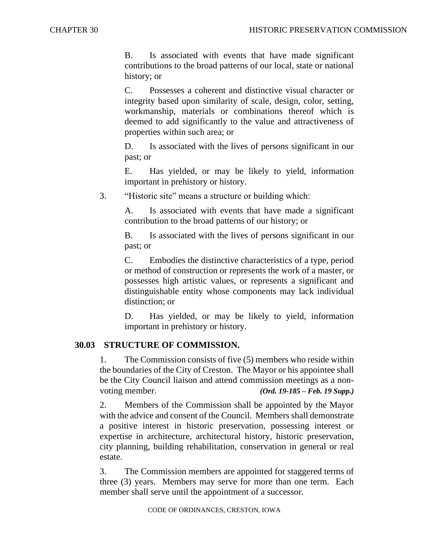B. Is associated with events that have made significant contributions to the broad patterns of our local, state or national history; or

C. Possesses a coherent and distinctive visual character or integrity based upon similarity of scale, design, color, setting, workmanship, materials or combinations thereof which is deemed to add significantly to the value and attractiveness of properties within such area; or

D. Is associated with the lives of persons significant in our past; or

E. Has yielded, or may be likely to yield, information important in prehistory or history.

3. "Historic site" means a structure or building which:

A. Is associated with events that have made a significant contribution to the broad patterns of our history; or

B. Is associated with the lives of persons significant in our past; or

C. Embodies the distinctive characteristics of a type, period or method of construction or represents the work of a master, or possesses high artistic values, or represents a significant and distinguishable entity whose components may lack individual distinction; or

D. Has yielded, or may be likely to yield, information important in prehistory or history.

## **30.03 STRUCTURE OF COMMISSION.**

1. The Commission consists of five (5) members who reside within the boundaries of the City of Creston. The Mayor or his appointee shall be the City Council liaison and attend commission meetings as a nonvoting member. *(Ord. 19-185 – Feb. 19 Supp.)*

2. Members of the Commission shall be appointed by the Mayor with the advice and consent of the Council. Members shall demonstrate a positive interest in historic preservation, possessing interest or expertise in architecture, architectural history, historic preservation, city planning, building rehabilitation, conservation in general or real estate.

3. The Commission members are appointed for staggered terms of three (3) years. Members may serve for more than one term. Each member shall serve until the appointment of a successor.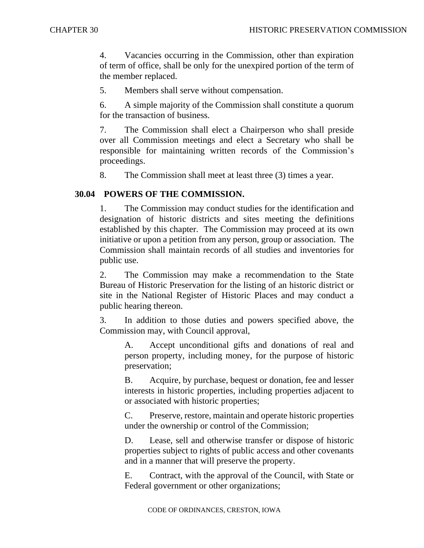4. Vacancies occurring in the Commission, other than expiration of term of office, shall be only for the unexpired portion of the term of the member replaced.

5. Members shall serve without compensation.

6. A simple majority of the Commission shall constitute a quorum for the transaction of business.

7. The Commission shall elect a Chairperson who shall preside over all Commission meetings and elect a Secretary who shall be responsible for maintaining written records of the Commission's proceedings.

8. The Commission shall meet at least three (3) times a year.

## **30.04 POWERS OF THE COMMISSION.**

1. The Commission may conduct studies for the identification and designation of historic districts and sites meeting the definitions established by this chapter. The Commission may proceed at its own initiative or upon a petition from any person, group or association. The Commission shall maintain records of all studies and inventories for public use.

2. The Commission may make a recommendation to the State Bureau of Historic Preservation for the listing of an historic district or site in the National Register of Historic Places and may conduct a public hearing thereon.

3. In addition to those duties and powers specified above, the Commission may, with Council approval,

A. Accept unconditional gifts and donations of real and person property, including money, for the purpose of historic preservation;

B. Acquire, by purchase, bequest or donation, fee and lesser interests in historic properties, including properties adjacent to or associated with historic properties;

C. Preserve, restore, maintain and operate historic properties under the ownership or control of the Commission;

D. Lease, sell and otherwise transfer or dispose of historic properties subject to rights of public access and other covenants and in a manner that will preserve the property.

E. Contract, with the approval of the Council, with State or Federal government or other organizations;